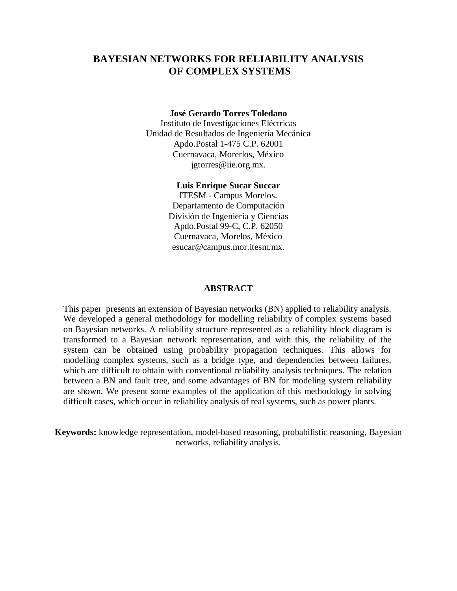# **BAYESIAN NETWORKS FOR RELIABILITY ANALYSIS OF COMPLEX SYSTEMS**

#### **José Gerardo Torres Toledano**

Instituto de Investigaciones Eléctricas Unidad de Resultados de Ingeniería Mecánica Apdo.Postal 1-475 C.P. 62001 Cuernavaca, Morerlos, México jgtorres@iie.org.mx.

### **Luis Enrique Sucar Succar**

ITESM - Campus Morelos. Departamento de Computación División de Ingeniería y Ciencias Apdo.Postal 99-C, C.P. 62050 Cuernavaca, Morelos, México esucar@campus.mor.itesm.mx.

### **ABSTRACT**

This paper presents an extension of Bayesian networks (BN) applied to reliability analysis. We developed a general methodology for modelling reliability of complex systems based on Bayesian networks. A reliability structure represented as a reliability block diagram is transformed to a Bayesian network representation, and with this, the reliability of the system can be obtained using probability propagation techniques. This allows for modelling complex systems, such as a bridge type, and dependencies between failures, which are difficult to obtain with conventional reliability analysis techniques. The relation between a BN and fault tree, and some advantages of BN for modeling system reliability are shown. We present some examples of the application of this methodology in solving difficult cases, which occur in reliability analysis of real systems, such as power plants.

**Keywords:** knowledge representation, model-based reasoning, probabilistic reasoning, Bayesian networks, reliability analysis.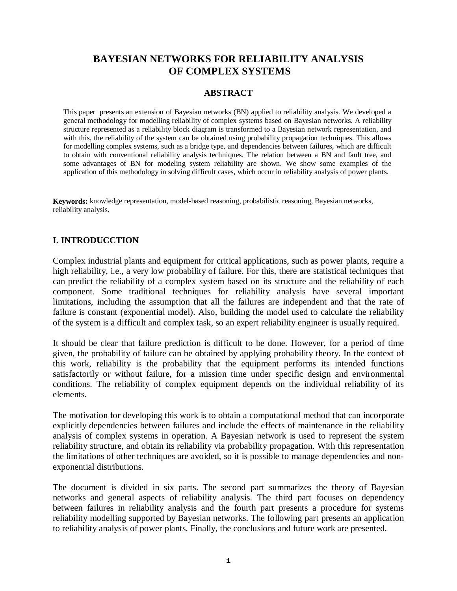# **BAYESIAN NETWORKS FOR RELIABILITY ANALYSIS OF COMPLEX SYSTEMS**

## **ABSTRACT**

This paper presents an extension of Bayesian networks (BN) applied to reliability analysis. We developed a general methodology for modelling reliability of complex systems based on Bayesian networks. A reliability structure represented as a reliability block diagram is transformed to a Bayesian network representation, and with this, the reliability of the system can be obtained using probability propagation techniques. This allows for modelling complex systems, such as a bridge type, and dependencies between failures, which are difficult to obtain with conventional reliability analysis techniques. The relation between a BN and fault tree, and some advantages of BN for modeling system reliability are shown. We show some examples of the application of this methodology in solving difficult cases, which occur in reliability analysis of power plants.

**Keywords:** knowledge representation, model-based reasoning, probabilistic reasoning, Bayesian networks, reliability analysis.

# **I. INTRODUCCTION**

Complex industrial plants and equipment for critical applications, such as power plants, require a high reliability, i.e., a very low probability of failure. For this, there are statistical techniques that can predict the reliability of a complex system based on its structure and the reliability of each component. Some traditional techniques for reliability analysis have several important limitations, including the assumption that all the failures are independent and that the rate of failure is constant (exponential model). Also, building the model used to calculate the reliability of the system is a difficult and complex task, so an expert reliability engineer is usually required.

It should be clear that failure prediction is difficult to be done. However, for a period of time given, the probability of failure can be obtained by applying probability theory. In the context of this work, reliability is the probability that the equipment performs its intended functions satisfactorily or without failure, for a mission time under specific design and environmental conditions. The reliability of complex equipment depends on the individual reliability of its elements.

The motivation for developing this work is to obtain a computational method that can incorporate explicitly dependencies between failures and include the effects of maintenance in the reliability analysis of complex systems in operation. A Bayesian network is used to represent the system reliability structure, and obtain its reliability via probability propagation. With this representation the limitations of other techniques are avoided, so it is possible to manage dependencies and nonexponential distributions.

The document is divided in six parts. The second part summarizes the theory of Bayesian networks and general aspects of reliability analysis. The third part focuses on dependency between failures in reliability analysis and the fourth part presents a procedure for systems reliability modelling supported by Bayesian networks. The following part presents an application to reliability analysis of power plants. Finally, the conclusions and future work are presented.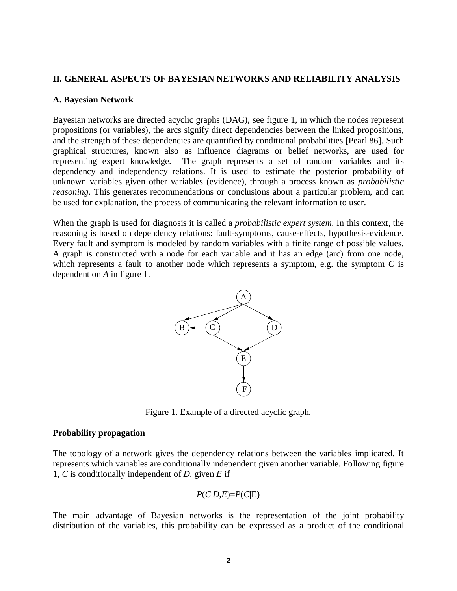## **II. GENERAL ASPECTS OF BAYESIAN NETWORKS AND RELIABILITY ANALYSIS**

### **A. Bayesian Network**

Bayesian networks are directed acyclic graphs (DAG), see figure 1, in which the nodes represent propositions (or variables), the arcs signify direct dependencies between the linked propositions, and the strength of these dependencies are quantified by conditional probabilities [Pearl 86]. Such graphical structures, known also as influence diagrams or belief networks, are used for representing expert knowledge. The graph represents a set of random variables and its dependency and independency relations. It is used to estimate the posterior probability of unknown variables given other variables (evidence), through a process known as *probabilistic reasoning*. This generates recommendations or conclusions about a particular problem, and can be used for explanation, the process of communicating the relevant information to user.

When the graph is used for diagnosis it is called a *probabilistic expert system*. In this context, the reasoning is based on dependency relations: fault-symptoms, cause-effects, hypothesis-evidence. Every fault and symptom is modeled by random variables with a finite range of possible values. A graph is constructed with a node for each variable and it has an edge (arc) from one node, which represents a fault to another node which represents a symptom, e.g. the symptom *C* is dependent on *A* in figure 1.



Figure 1. Example of a directed acyclic graph.

## **Probability propagation**

The topology of a network gives the dependency relations between the variables implicated. It represents which variables are conditionally independent given another variable. Following figure 1, *C* is conditionally independent of *D*, given *E* if

$$
P(C|D,E)=P(C|E)
$$

The main advantage of Bayesian networks is the representation of the joint probability distribution of the variables, this probability can be expressed as a product of the conditional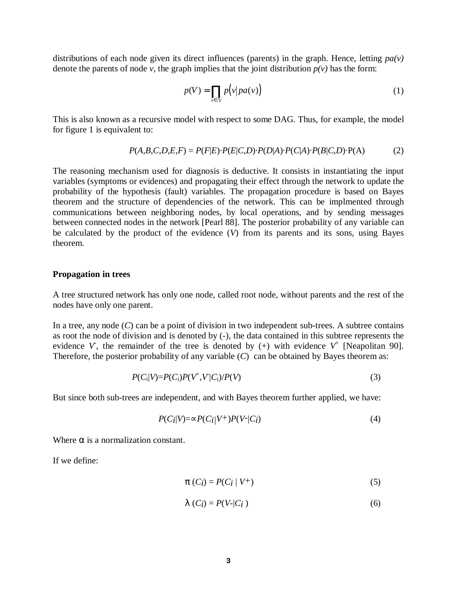distributions of each node given its direct influences (parents) in the graph. Hence, letting  $pa(v)$ denote the parents of node *v*, the graph implies that the joint distribution  $p(v)$  has the form:

$$
p(V) = \prod_{v \in V} p(v|pa(v))
$$
 (1)

This is also known as a recursive model with respect to some DAG. Thus, for example, the model for figure 1 is equivalent to:

$$
P(A,B,C,D,E,F) = P(F|E) \cdot P(E|C,D) \cdot P(D|A) \cdot P(C|A) \cdot P(B|C,D) \cdot P(A)
$$
 (2)

The reasoning mechanism used for diagnosis is deductive. It consists in instantiating the input variables (symptoms or evidences) and propagating their effect through the network to update the probability of the hypothesis (fault) variables. The propagation procedure is based on Bayes theorem and the structure of dependencies of the network. This can be implmented through communications between neighboring nodes, by local operations, and by sending messages between connected nodes in the network [Pearl 88]. The posterior probability of any variable can be calculated by the product of the evidence (*V*) from its parents and its sons, using Bayes theorem.

#### **Propagation in trees**

A tree structured network has only one node, called root node, without parents and the rest of the nodes have only one parent.

In a tree, any node (*C*) can be a point of division in two independent sub-trees. A subtree contains as root the node of division and is denoted by (-), the data contained in this subtree represents the evidence V, the remainder of the tree is denoted by  $(+)$  with evidence  $V^+$  [Neapolitan 90]. Therefore, the posterior probability of any variable (*C*) can be obtained by Bayes theorem as:

$$
P(C_i|V) = P(C_i)P(V^+,V|C_i)/P(V)
$$
\n(3)

But since both sub-trees are independent, and with Bayes theorem further applied, we have:

$$
P(C_i|V) = \propto P(C_i|V^+)P(V^-|C_i)
$$
\n<sup>(4)</sup>

Where  $\alpha$  is a normalization constant.

If we define:

$$
\pi(C_i) = P(C_i \mid V^+) \tag{5}
$$

$$
\lambda(C_i) = P(V-|C_i)
$$
\n(6)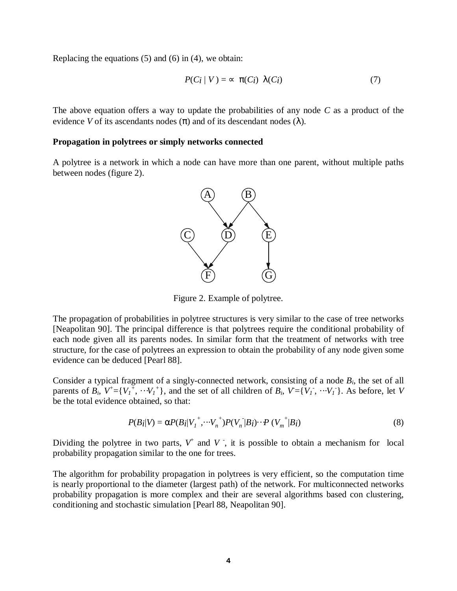Replacing the equations  $(5)$  and  $(6)$  in  $(4)$ , we obtain:

$$
P(C_i | V) = \infty \ \pi(C_i) \ \lambda(C_i) \tag{7}
$$

The above equation offers a way to update the probabilities of any node *C* as a product of the evidence *V* of its ascendants nodes  $(\pi)$  and of its descendant nodes  $(\lambda)$ .

#### **Propagation in polytrees or simply networks connected**

A polytree is a network in which a node can have more than one parent, without multiple paths between nodes (figure 2).



Figure 2. Example of polytree.

The propagation of probabilities in polytree structures is very similar to the case of tree networks [Neapolitan 90]. The principal difference is that polytrees require the conditional probability of each node given all its parents nodes. In similar form that the treatment of networks with tree structure, for the case of polytrees an expression to obtain the probability of any node given some evidence can be deduced [Pearl 88].

Consider a typical fragment of a singly-connected network, consisting of a node *Bi*, the set of all parents of  $B_i$ ,  $V^{\dagger} = \{V_i^{\dagger}, \cdots V_i^{\dagger}\}\$ , and the set of all children of  $B_i$ ,  $V = \{V_i, \cdots V_i\}$ . As before, let V be the total evidence obtained, so that:

$$
P(B_i|V) = \alpha P(B_i|V_1^+, \cdots V_n^+) P(V_n|B_i) \cdots P(V_m^+|B_i)
$$
\n
$$
(8)
$$

Dividing the polytree in two parts,  $V^+$  and  $V^-$ , it is possible to obtain a mechanism for local probability propagation similar to the one for trees.

The algorithm for probability propagation in polytrees is very efficient, so the computation time is nearly proportional to the diameter (largest path) of the network. For multiconnected networks probability propagation is more complex and their are several algorithms based con clustering, conditioning and stochastic simulation [Pearl 88, Neapolitan 90].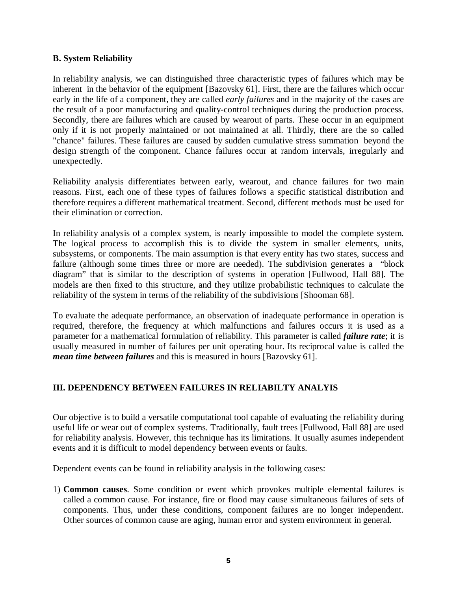## **B. System Reliability**

In reliability analysis, we can distinguished three characteristic types of failures which may be inherent in the behavior of the equipment [Bazovsky 61]. First, there are the failures which occur early in the life of a component, they are called *early failures* and in the majority of the cases are the result of a poor manufacturing and quality-control techniques during the production process. Secondly, there are failures which are caused by wearout of parts. These occur in an equipment only if it is not properly maintained or not maintained at all. Thirdly, there are the so called "chance" failures. These failures are caused by sudden cumulative stress summation beyond the design strength of the component. Chance failures occur at random intervals, irregularly and unexpectedly.

Reliability analysis differentiates between early, wearout, and chance failures for two main reasons. First, each one of these types of failures follows a specific statistical distribution and therefore requires a different mathematical treatment. Second, different methods must be used for their elimination or correction.

In reliability analysis of a complex system, is nearly impossible to model the complete system. The logical process to accomplish this is to divide the system in smaller elements, units, subsystems, or components. The main assumption is that every entity has two states, success and failure (although some times three or more are needed). The subdivision generates a "block diagram" that is similar to the description of systems in operation [Fullwood, Hall 88]. The models are then fixed to this structure, and they utilize probabilistic techniques to calculate the reliability of the system in terms of the reliability of the subdivisions [Shooman 68].

To evaluate the adequate performance, an observation of inadequate performance in operation is required, therefore, the frequency at which malfunctions and failures occurs it is used as a parameter for a mathematical formulation of reliability. This parameter is called *failure rate*; it is usually measured in number of failures per unit operating hour. Its reciprocal value is called the *mean time between failures* and this is measured in hours [Bazovsky 61].

# **III. DEPENDENCY BETWEEN FAILURES IN RELIABILTY ANALYIS**

Our objective is to build a versatile computational tool capable of evaluating the reliability during useful life or wear out of complex systems. Traditionally, fault trees [Fullwood, Hall 88] are used for reliability analysis. However, this technique has its limitations. It usually asumes independent events and it is difficult to model dependency between events or faults.

Dependent events can be found in reliability analysis in the following cases:

1) **Common causes**. Some condition or event which provokes multiple elemental failures is called a common cause. For instance, fire or flood may cause simultaneous failures of sets of components. Thus, under these conditions, component failures are no longer independent. Other sources of common cause are aging, human error and system environment in general.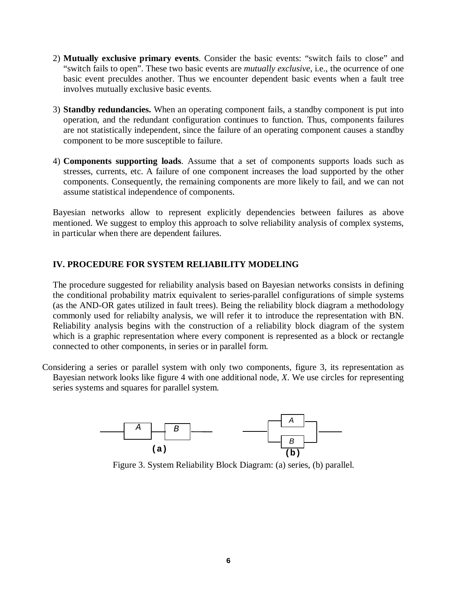- 2) **Mutually exclusive primary events**. Consider the basic events: "switch fails to close" and "switch fails to open". These two basic events are *mutually exclusive*, i.e., the ocurrence of one basic event preculdes another. Thus we encounter dependent basic events when a fault tree involves mutually exclusive basic events.
- 3) **Standby redundancies.** When an operating component fails, a standby component is put into operation, and the redundant configuration continues to function. Thus, components failures are not statistically independent, since the failure of an operating component causes a standby component to be more susceptible to failure.
- 4) **Components supporting loads**. Assume that a set of components supports loads such as stresses, currents, etc. A failure of one component increases the load supported by the other components. Consequently, the remaining components are more likely to fail, and we can not assume statistical independence of components.

Bayesian networks allow to represent explicitly dependencies between failures as above mentioned. We suggest to employ this approach to solve reliability analysis of complex systems, in particular when there are dependent failures.

# **IV. PROCEDURE FOR SYSTEM RELIABILITY MODELING**

The procedure suggested for reliability analysis based on Bayesian networks consists in defining the conditional probability matrix equivalent to series-parallel configurations of simple systems (as the AND-OR gates utilized in fault trees). Being the reliability block diagram a methodology commonly used for reliabilty analysis, we will refer it to introduce the representation with BN. Reliability analysis begins with the construction of a reliability block diagram of the system which is a graphic representation where every component is represented as a block or rectangle connected to other components, in series or in parallel form.

Considering a series or parallel system with only two components, figure 3, its representation as Bayesian network looks like figure 4 with one additional node, *X*. We use circles for representing series systems and squares for parallel system.



Figure 3. System Reliability Block Diagram: (a) series, (b) parallel.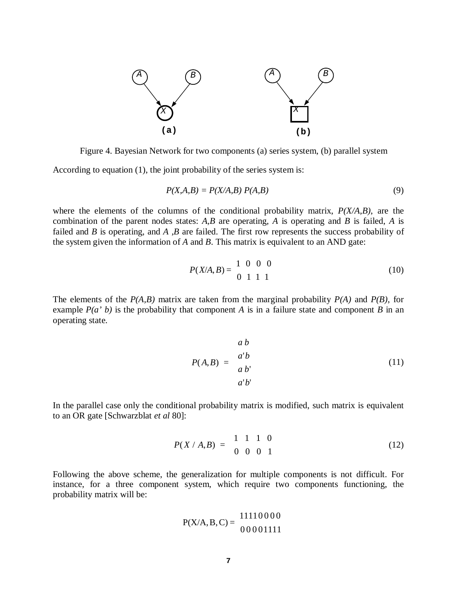

Figure 4. Bayesian Network for two components (a) series system, (b) parallel system

According to equation (1), the joint probability of the series system is:

$$
P(X, A, B) = P(X/A, B) P(A, B)
$$
\n<sup>(9)</sup>

where the elements of the columns of the conditional probability matrix, *P(X/A,B)*, are the combination of the parent nodes states: *A,B* are operating, *A* is operating and *B* is failed, *A* is failed and *B* is operating, and *A ,B* are failed. The first row represents the success probability of the system given the information of *A* and *B*. This matrix is equivalent to an AND gate:

$$
P(X/A, B) = \begin{bmatrix} 1 & 0 & 0 & 0 \\ 0 & 1 & 1 & 1 \end{bmatrix}
$$
 (10)

The elements of the *P(A,B)* matrix are taken from the marginal probability *P(A)* and *P(B)*, for example  $P(a \, b)$  is the probability that component *A* is in a failure state and component *B* in an operating state.

$$
P(A,B) = \begin{bmatrix} a & b \\ a' & b \\ a & b' \\ a'b' \end{bmatrix}
$$
 (11)

In the parallel case only the conditional probability matrix is modified, such matrix is equivalent to an OR gate [Schwarzblat *et al* 80]:

$$
P(X \mid A,B) = \begin{bmatrix} 1 & 1 & 1 & 0 \\ 0 & 0 & 0 & 1 \end{bmatrix}
$$
 (12)

Following the above scheme, the generalization for multiple components is not difficult. For instance, for a three component system, which require two components functioning, the probability matrix will be:

$$
P(X/A, B, C) = \begin{bmatrix} 11110000 \\ 00001111 \end{bmatrix}
$$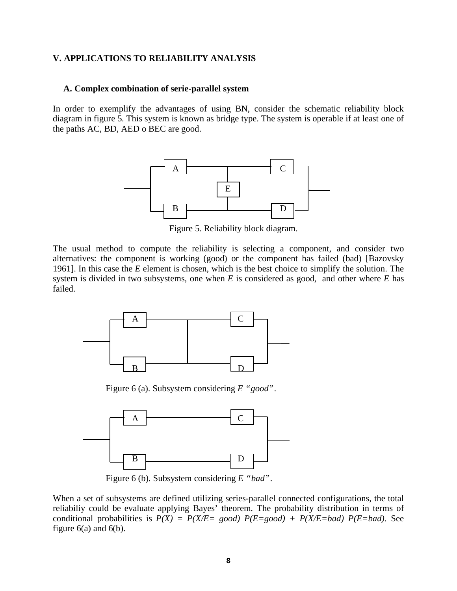## **V. APPLICATIONS TO RELIABILITY ANALYSIS**

#### **A. Complex combination of serie-parallel system**

In order to exemplify the advantages of using BN, consider the schematic reliability block diagram in figure 5. This system is known as bridge type. The system is operable if at least one of the paths AC, BD, AED o BEC are good.



Figure 5. Reliability block diagram.

The usual method to compute the reliability is selecting a component, and consider two alternatives: the component is working (good) or the component has failed (bad) [Bazovsky 1961]. In this case the *E* element is chosen, which is the best choice to simplify the solution. The system is divided in two subsystems, one when *E* is considered as good, and other where *E* has failed.



Figure 6 (a). Subsystem considering *E "good"*.



Figure 6 (b). Subsystem considering *E "bad"*.

When a set of subsystems are defined utilizing series-parallel connected configurations, the total reliabiliy could be evaluate applying Bayes' theorem. The probability distribution in terms of conditional probabilities is  $P(X) = P(X/E = good) P(E = good) + P(X/E = bad) P(E = bad)$ . See figure  $6(a)$  and  $6(b)$ .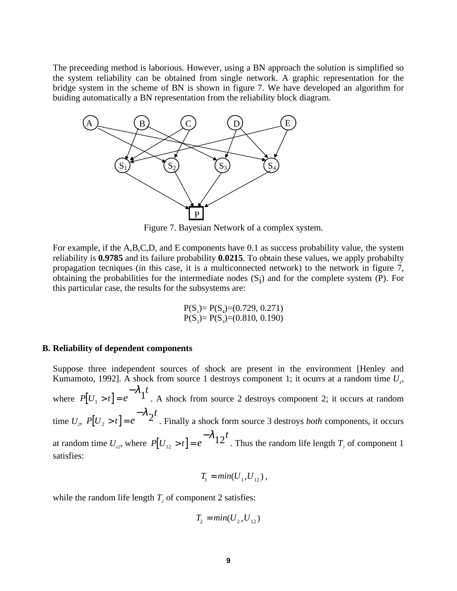The preceeding method is laborious. However, using a BN approach the solution is simplified so the system reliability can be obtained from single network. A graphic representation for the bridge system in the scheme of BN is shown in figure 7. We have developed an algorithm for buiding automatically a BN representation from the reliability block diagram.



Figure 7. Bayesian Network of a complex system.

For example, if the A,B,C,D, and E components have 0.1 as success probability value, the system reliability is **0.9785** and its failure probability **0.0215**. To obtain these values, we apply probabilty propagation tecniques (in this case, it is a multiconnected network) to the network in figure 7, obtaining the probabilities for the intermediate nodes  $(S_i)$  and for the complete system (P). For this particular case, the results for the subsystems are:

$$
P(S_1) = P(S_4) = (0.729, 0.271)
$$
  

$$
P(S_2) = P(S_3) = (0.810, 0.190)
$$

#### **B. Reliability of dependent components**

Suppose three independent sources of shock are present in the environment [Henley and Kumamoto, 1992]. A shock from source 1 destroys component 1; it ocurrs at a random time *U<sup>1</sup>* , where  $P[U_1 > t] = e$ *t*  $\begin{bmatrix} 1 > t \\ 1 > t \end{bmatrix} = e^{-\lambda} 1$ . A shock from source 2 destroys component 2; it occurs at random  $\text{time } U_2, P[U_2 > t] = e$ *t*  $\begin{bmatrix} 2 > t \end{bmatrix} = e^{-\lambda} 2$ . Finally a shock form source 3 destroys *both* components, it occurs at random time  $U_{12}$ , where  $P[U_{12} > t] = e$ *t*  $\begin{bmatrix} 1_{12} > t \end{bmatrix} = e^{-\lambda} 12$ . Thus the random life length  $T_i$  of component 1 satisfies:

$$
T_1 = min(U_1, U_{12}),
$$

while the random life length  $T_2$  of component 2 satisfies:

$$
T_2 = min(U_2, U_{12})
$$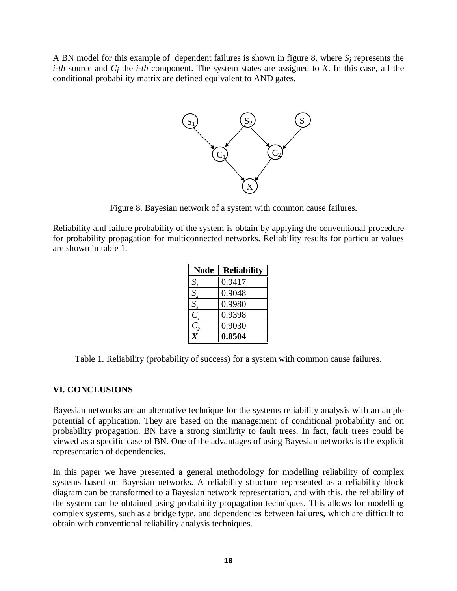A BN model for this example of dependent failures is shown in figure 8, where  $S_i$  represents the *i-th* source and  $C_i$  the *i-th* component. The system states are assigned to *X*. In this case, all the conditional probability matrix are defined equivalent to AND gates.



Figure 8. Bayesian network of a system with common cause failures.

Reliability and failure probability of the system is obtain by applying the conventional procedure for probability propagation for multiconnected networks. Reliability results for particular values are shown in table 1.

| <b>Node</b> | <b>Reliability</b> |
|-------------|--------------------|
| S           | 0.9417             |
| $S_{\cdot}$ | 0.9048             |
| $S_{\rm s}$ | 0.9980             |
|             | 0.9398             |
|             | 0.9030             |
|             | 0.8504             |

Table 1. Reliability (probability of success) for a system with common cause failures.

# **VI. CONCLUSIONS**

Bayesian networks are an alternative technique for the systems reliability analysis with an ample potential of application. They are based on the management of conditional probability and on probability propagation. BN have a strong similirity to fault trees. In fact, fault trees could be viewed as a specific case of BN. One of the advantages of using Bayesian networks is the explicit representation of dependencies.

In this paper we have presented a general methodology for modelling reliability of complex systems based on Bayesian networks. A reliability structure represented as a reliability block diagram can be transformed to a Bayesian network representation, and with this, the reliability of the system can be obtained using probability propagation techniques. This allows for modelling complex systems, such as a bridge type, and dependencies between failures, which are difficult to obtain with conventional reliability analysis techniques.